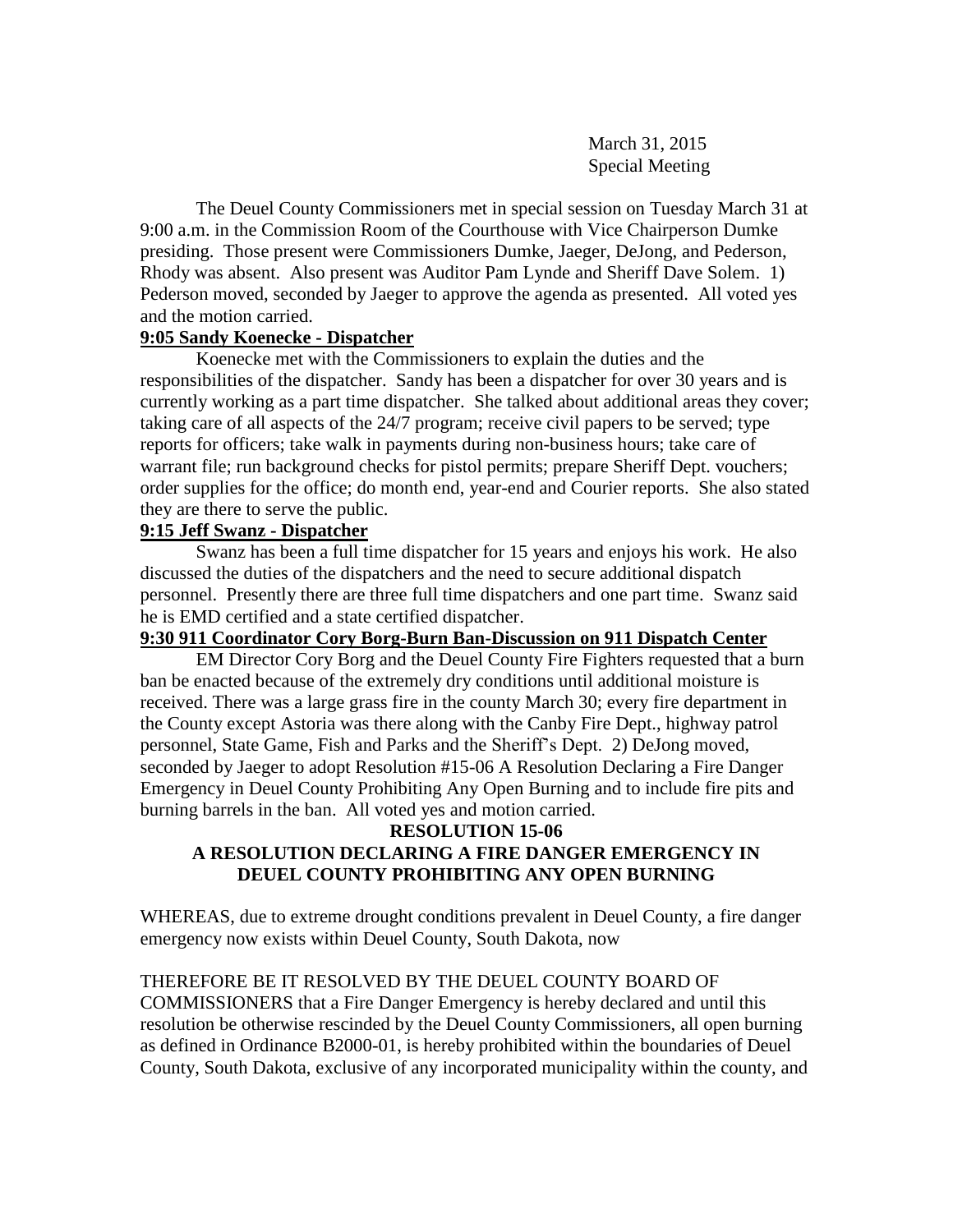March 31, 2015 Special Meeting

The Deuel County Commissioners met in special session on Tuesday March 31 at 9:00 a.m. in the Commission Room of the Courthouse with Vice Chairperson Dumke presiding. Those present were Commissioners Dumke, Jaeger, DeJong, and Pederson, Rhody was absent. Also present was Auditor Pam Lynde and Sheriff Dave Solem. 1) Pederson moved, seconded by Jaeger to approve the agenda as presented. All voted yes and the motion carried.

### **9:05 Sandy Koenecke - Dispatcher**

Koenecke met with the Commissioners to explain the duties and the responsibilities of the dispatcher. Sandy has been a dispatcher for over 30 years and is currently working as a part time dispatcher. She talked about additional areas they cover; taking care of all aspects of the 24/7 program; receive civil papers to be served; type reports for officers; take walk in payments during non-business hours; take care of warrant file; run background checks for pistol permits; prepare Sheriff Dept. vouchers; order supplies for the office; do month end, year-end and Courier reports. She also stated they are there to serve the public.

### **9:15 Jeff Swanz - Dispatcher**

Swanz has been a full time dispatcher for 15 years and enjoys his work. He also discussed the duties of the dispatchers and the need to secure additional dispatch personnel. Presently there are three full time dispatchers and one part time. Swanz said he is EMD certified and a state certified dispatcher.

## **9:30 911 Coordinator Cory Borg-Burn Ban-Discussion on 911 Dispatch Center**

EM Director Cory Borg and the Deuel County Fire Fighters requested that a burn ban be enacted because of the extremely dry conditions until additional moisture is received. There was a large grass fire in the county March 30; every fire department in the County except Astoria was there along with the Canby Fire Dept., highway patrol personnel, State Game, Fish and Parks and the Sheriff's Dept. 2) DeJong moved, seconded by Jaeger to adopt Resolution #15-06 A Resolution Declaring a Fire Danger Emergency in Deuel County Prohibiting Any Open Burning and to include fire pits and burning barrels in the ban. All voted yes and motion carried.

# **RESOLUTION 15-06 A RESOLUTION DECLARING A FIRE DANGER EMERGENCY IN DEUEL COUNTY PROHIBITING ANY OPEN BURNING**

WHEREAS, due to extreme drought conditions prevalent in Deuel County, a fire danger emergency now exists within Deuel County, South Dakota, now

## THEREFORE BE IT RESOLVED BY THE DEUEL COUNTY BOARD OF

COMMISSIONERS that a Fire Danger Emergency is hereby declared and until this resolution be otherwise rescinded by the Deuel County Commissioners, all open burning as defined in Ordinance B2000-01, is hereby prohibited within the boundaries of Deuel County, South Dakota, exclusive of any incorporated municipality within the county, and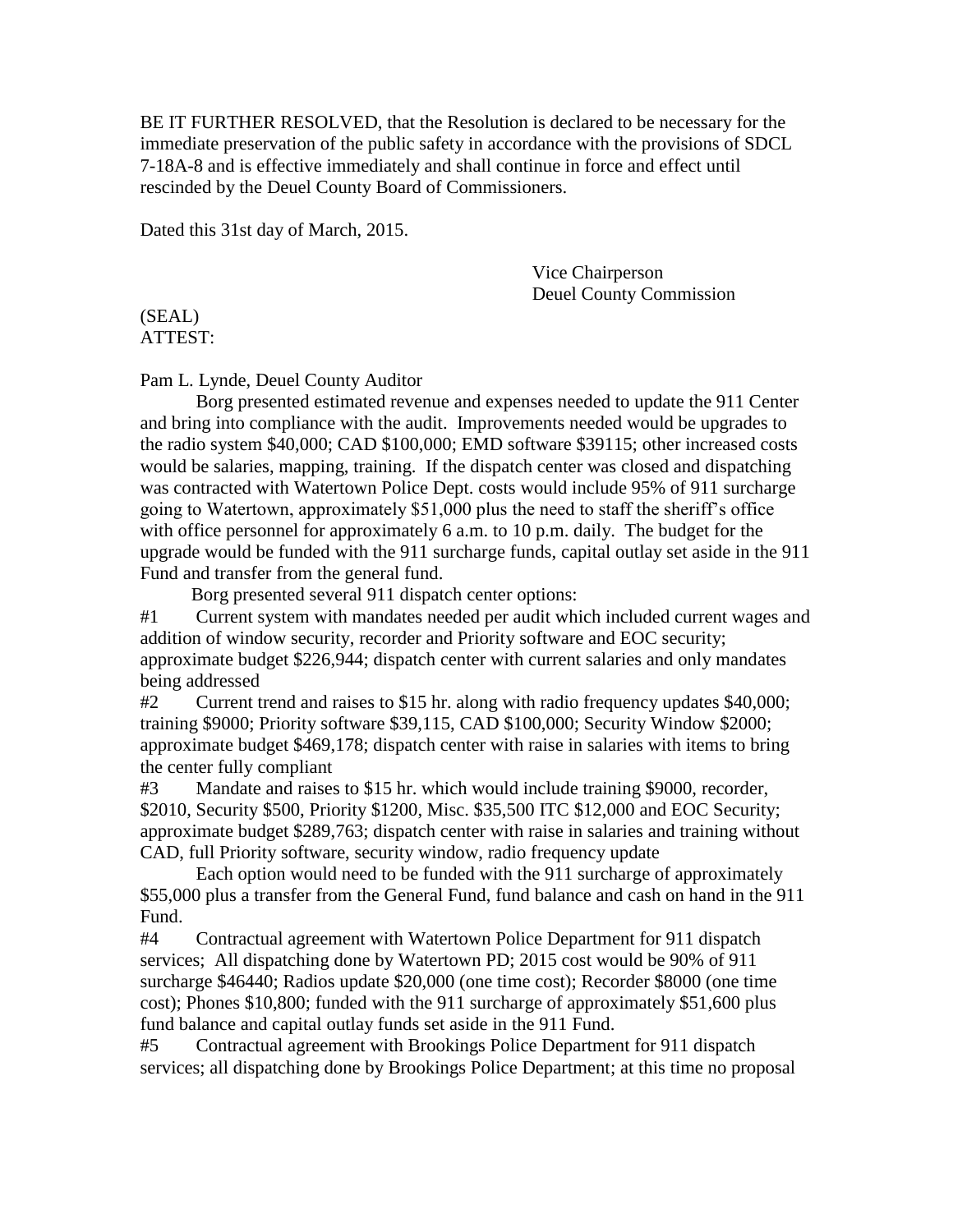BE IT FURTHER RESOLVED, that the Resolution is declared to be necessary for the immediate preservation of the public safety in accordance with the provisions of SDCL 7-18A-8 and is effective immediately and shall continue in force and effect until rescinded by the Deuel County Board of Commissioners.

Dated this 31st day of March, 2015.

Vice Chairperson Deuel County Commission

(SEAL) ATTEST:

Pam L. Lynde, Deuel County Auditor

Borg presented estimated revenue and expenses needed to update the 911 Center and bring into compliance with the audit. Improvements needed would be upgrades to the radio system \$40,000; CAD \$100,000; EMD software \$39115; other increased costs would be salaries, mapping, training. If the dispatch center was closed and dispatching was contracted with Watertown Police Dept. costs would include 95% of 911 surcharge going to Watertown, approximately \$51,000 plus the need to staff the sheriff's office with office personnel for approximately 6 a.m. to 10 p.m. daily. The budget for the upgrade would be funded with the 911 surcharge funds, capital outlay set aside in the 911 Fund and transfer from the general fund.

Borg presented several 911 dispatch center options:

#1 Current system with mandates needed per audit which included current wages and addition of window security, recorder and Priority software and EOC security; approximate budget \$226,944; dispatch center with current salaries and only mandates being addressed

#2 Current trend and raises to \$15 hr. along with radio frequency updates \$40,000; training \$9000; Priority software \$39,115, CAD \$100,000; Security Window \$2000; approximate budget \$469,178; dispatch center with raise in salaries with items to bring the center fully compliant

#3 Mandate and raises to \$15 hr. which would include training \$9000, recorder, \$2010, Security \$500, Priority \$1200, Misc. \$35,500 ITC \$12,000 and EOC Security; approximate budget \$289,763; dispatch center with raise in salaries and training without CAD, full Priority software, security window, radio frequency update

Each option would need to be funded with the 911 surcharge of approximately \$55,000 plus a transfer from the General Fund, fund balance and cash on hand in the 911 Fund.

#4 Contractual agreement with Watertown Police Department for 911 dispatch services; All dispatching done by Watertown PD; 2015 cost would be 90% of 911 surcharge \$46440; Radios update \$20,000 (one time cost); Recorder \$8000 (one time cost); Phones \$10,800; funded with the 911 surcharge of approximately \$51,600 plus fund balance and capital outlay funds set aside in the 911 Fund.

#5 Contractual agreement with Brookings Police Department for 911 dispatch services; all dispatching done by Brookings Police Department; at this time no proposal